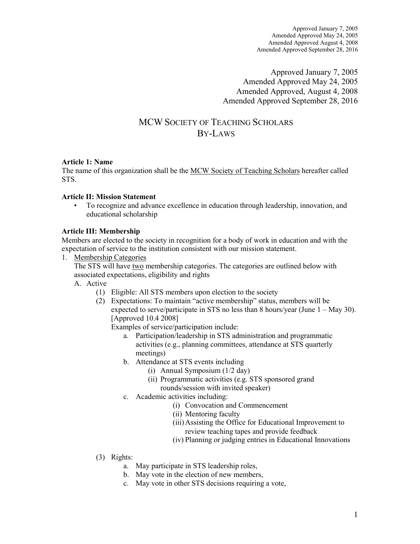Approved January 7, 2005 Amended Approved May 24, 2005 Amended Approved, August 4, 2008 Amended Approved September 28, 2016

# MCW SOCIETY OF TEACHING SCHOLARS BY-LAWS

# **Article 1: Name**

The name of this organization shall be the MCW Society of Teaching Scholars hereafter called STS.

# **Article II: Mission Statement**

• To recognize and advance excellence in education through leadership, innovation, and educational scholarship

# **Article III: Membership**

Members are elected to the society in recognition for a body of work in education and with the expectation of service to the institution consistent with our mission statement.

1. Membership Categories

The STS will have two membership categories. The categories are outlined below with associated expectations, eligibility and rights

- A. Active
	- (1) Eligible: All STS members upon election to the society
	- (2) Expectations: To maintain "active membership" status, members will be expected to serve/participate in STS no less than 8 hours/year (June  $1 -$  May 30). [Approved 10.4 2008]

Examples of service/participation include:

- a. Participation/leadership in STS administration and programmatic activities (e.g., planning committees, attendance at STS quarterly meetings)
- b. Attendance at STS events including
	- (i) Annual Symposium (1/2 day)
	- (ii) Programmatic activities (e.g. STS sponsored grand rounds/session with invited speaker)
- c. Academic activities including:
	- (i) Convocation and Commencement
		- (ii) Mentoring faculty
		- (iii)Assisting the Office for Educational Improvement to review teaching tapes and provide feedback
		- (iv) Planning or judging entries in Educational Innovations
- (3) Rights:
	- a. May participate in STS leadership roles,
	- b. May vote in the election of new members,
	- c. May vote in other STS decisions requiring a vote,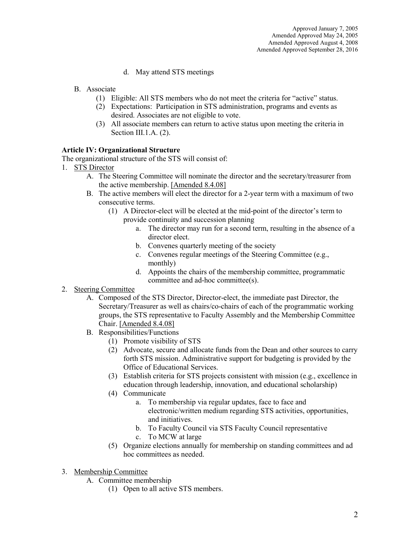- d. May attend STS meetings
- B. Associate
	- (1) Eligible: All STS members who do not meet the criteria for "active" status.
	- (2) Expectations: Participation in STS administration, programs and events as desired. Associates are not eligible to vote.
	- (3) All associate members can return to active status upon meeting the criteria in Section III.1.A. (2).

#### **Article IV: Organizational Structure**

The organizational structure of the STS will consist of:

- 1. STS Director
	- A. The Steering Committee will nominate the director and the secretary/treasurer from the active membership. [Amended 8.4.08]
	- B. The active members will elect the director for a 2-year term with a maximum of two consecutive terms.
		- (1) A Director-elect will be elected at the mid-point of the director's term to provide continuity and succession planning
			- a. The director may run for a second term, resulting in the absence of a director elect.
			- b. Convenes quarterly meeting of the society
			- c. Convenes regular meetings of the Steering Committee (e.g., monthly)
			- d. Appoints the chairs of the membership committee, programmatic committee and ad-hoc committee(s).

# 2. Steering Committee

- A. Composed of the STS Director, Director-elect, the immediate past Director, the Secretary/Treasurer as well as chairs/co-chairs of each of the programmatic working groups, the STS representative to Faculty Assembly and the Membership Committee Chair. [Amended 8.4.08]
- B. Responsibilities/Functions
	- (1) Promote visibility of STS
	- (2) Advocate, secure and allocate funds from the Dean and other sources to carry forth STS mission. Administrative support for budgeting is provided by the Office of Educational Services.
	- (3) Establish criteria for STS projects consistent with mission (e.g., excellence in education through leadership, innovation, and educational scholarship)
	- (4) Communicate
		- a. To membership via regular updates, face to face and electronic/written medium regarding STS activities, opportunities, and initiatives.
		- b. To Faculty Council via STS Faculty Council representative
		- c. To MCW at large
	- (5) Organize elections annually for membership on standing committees and ad hoc committees as needed.
- 3. Membership Committee
	- A. Committee membership
		- (1) Open to all active STS members.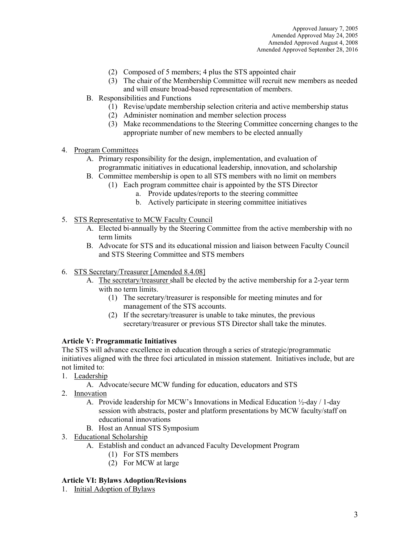- (2) Composed of 5 members; 4 plus the STS appointed chair
- (3) The chair of the Membership Committee will recruit new members as needed and will ensure broad-based representation of members.
- B. Responsibilities and Functions
	- (1) Revise/update membership selection criteria and active membership status
	- (2) Administer nomination and member selection process
	- (3) Make recommendations to the Steering Committee concerning changes to the appropriate number of new members to be elected annually
- 4. Program Committees
	- A. Primary responsibility for the design, implementation, and evaluation of programmatic initiatives in educational leadership, innovation, and scholarship
	- B. Committee membership is open to all STS members with no limit on members
		- (1) Each program committee chair is appointed by the STS Director
			- a. Provide updates/reports to the steering committee
			- b. Actively participate in steering committee initiatives
- 5. STS Representative to MCW Faculty Council
	- A. Elected bi-annually by the Steering Committee from the active membership with no term limits
	- B. Advocate for STS and its educational mission and liaison between Faculty Council and STS Steering Committee and STS members
- 6. STS Secretary/Treasurer [Amended 8.4.08]
	- A. The secretary/treasurer shall be elected by the active membership for a 2-year term with no term limits.
		- (1) The secretary/treasurer is responsible for meeting minutes and for management of the STS accounts.
		- (2) If the secretary/treasurer is unable to take minutes, the previous secretary/treasurer or previous STS Director shall take the minutes.

# **Article V: Programmatic Initiatives**

The STS will advance excellence in education through a series of strategic/programmatic initiatives aligned with the three foci articulated in mission statement. Initiatives include, but are not limited to:

- 1. Leadership
	- A. Advocate/secure MCW funding for education, educators and STS
- 2. Innovation
	- A. Provide leadership for MCW's Innovations in Medical Education ½-day / 1-day session with abstracts, poster and platform presentations by MCW faculty/staff on educational innovations
	- B. Host an Annual STS Symposium
- 3. Educational Scholarship
	- A. Establish and conduct an advanced Faculty Development Program
		- (1) For STS members
		- (2) For MCW at large

# **Article VI: Bylaws Adoption/Revisions**

1. Initial Adoption of Bylaws